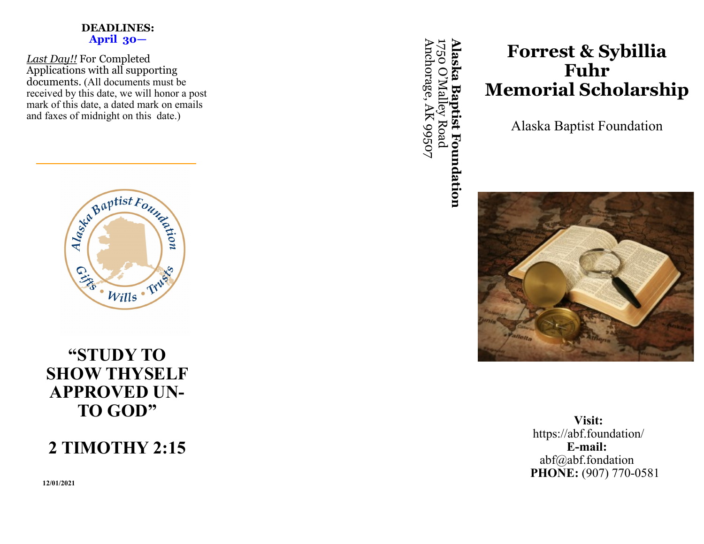### **DEADLINES: April 30—**

*Last Day!!* For Completed Applications with all supporting documents. (All documents must be received by this date, we will honor a post mark of this date, a dated mark on emails and faxes of midnight on this date.)



## **"STUDY TO SHOW THYSELF APPROVED UN-TO GOD"**

# **2 TIMOTHY 2:15**

**12/01/2021**

**Alaska Baptist Foundation** Anchorage, AK 99507 Anchorage, AK 99507 1750 O '**Alaska Baptist Foundation** Malley Road

# **Forrest & Sybillia Fuhr Memorial Scholarship**

Alaska Baptist Foundation



**Visit:** https://abf.foundation/ **E-mail:** abf@abf.fondation **PHONE:** (907) 770-0581